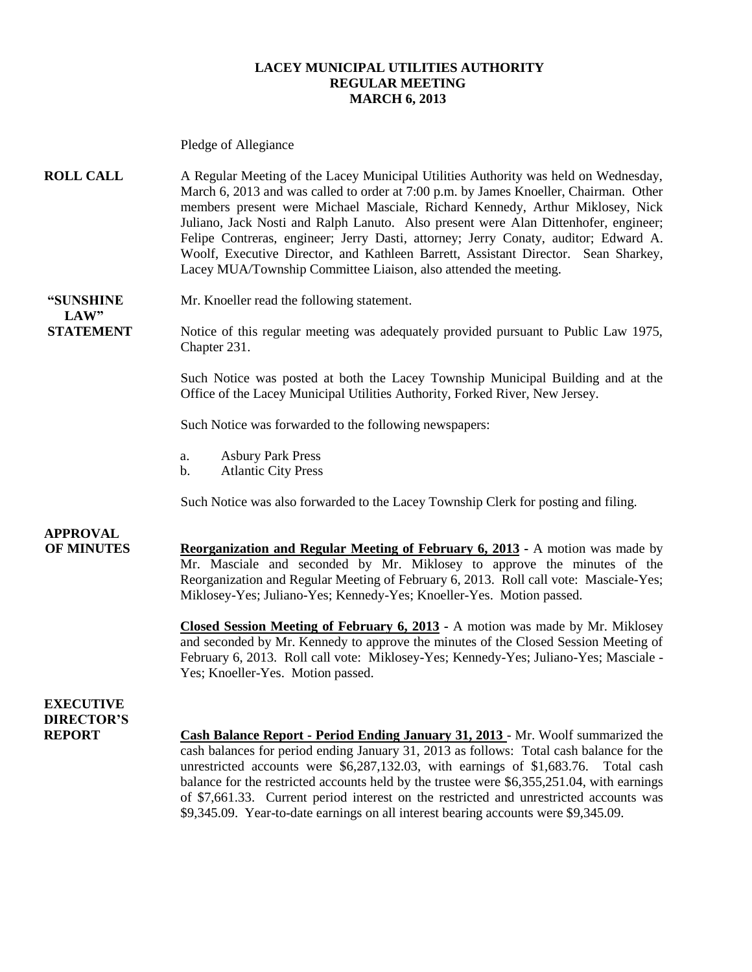#### **LACEY MUNICIPAL UTILITIES AUTHORITY REGULAR MEETING MARCH 6, 2013**

|                                                        | Pledge of Allegiance                                                                                                                                                                                                                                                                                                                                                                                                                                                                                                                                                                                  |
|--------------------------------------------------------|-------------------------------------------------------------------------------------------------------------------------------------------------------------------------------------------------------------------------------------------------------------------------------------------------------------------------------------------------------------------------------------------------------------------------------------------------------------------------------------------------------------------------------------------------------------------------------------------------------|
| <b>ROLL CALL</b>                                       | A Regular Meeting of the Lacey Municipal Utilities Authority was held on Wednesday,<br>March 6, 2013 and was called to order at 7:00 p.m. by James Knoeller, Chairman. Other<br>members present were Michael Masciale, Richard Kennedy, Arthur Miklosey, Nick<br>Juliano, Jack Nosti and Ralph Lanuto. Also present were Alan Dittenhofer, engineer;<br>Felipe Contreras, engineer; Jerry Dasti, attorney; Jerry Conaty, auditor; Edward A.<br>Woolf, Executive Director, and Kathleen Barrett, Assistant Director. Sean Sharkey,<br>Lacey MUA/Township Committee Liaison, also attended the meeting. |
| "SUNSHINE<br>LAW"                                      | Mr. Knoeller read the following statement.                                                                                                                                                                                                                                                                                                                                                                                                                                                                                                                                                            |
| <b>STATEMENT</b>                                       | Notice of this regular meeting was adequately provided pursuant to Public Law 1975,<br>Chapter 231.                                                                                                                                                                                                                                                                                                                                                                                                                                                                                                   |
|                                                        | Such Notice was posted at both the Lacey Township Municipal Building and at the<br>Office of the Lacey Municipal Utilities Authority, Forked River, New Jersey.                                                                                                                                                                                                                                                                                                                                                                                                                                       |
|                                                        | Such Notice was forwarded to the following newspapers:                                                                                                                                                                                                                                                                                                                                                                                                                                                                                                                                                |
|                                                        | <b>Asbury Park Press</b><br>a.<br><b>Atlantic City Press</b><br>$\mathbf b$ .                                                                                                                                                                                                                                                                                                                                                                                                                                                                                                                         |
|                                                        | Such Notice was also forwarded to the Lacey Township Clerk for posting and filing.                                                                                                                                                                                                                                                                                                                                                                                                                                                                                                                    |
| <b>APPROVAL</b><br><b>OF MINUTES</b>                   | <b>Reorganization and Regular Meeting of February 6, 2013</b> - A motion was made by<br>Mr. Masciale and seconded by Mr. Miklosey to approve the minutes of the<br>Reorganization and Regular Meeting of February 6, 2013. Roll call vote: Masciale-Yes;<br>Miklosey-Yes; Juliano-Yes; Kennedy-Yes; Knoeller-Yes. Motion passed.                                                                                                                                                                                                                                                                      |
|                                                        | <b>Closed Session Meeting of February 6, 2013</b> - A motion was made by Mr. Miklosey<br>and seconded by Mr. Kennedy to approve the minutes of the Closed Session Meeting of<br>February 6, 2013. Roll call vote: Miklosey-Yes; Kennedy-Yes; Juliano-Yes; Masciale -<br>Yes; Knoeller-Yes. Motion passed.                                                                                                                                                                                                                                                                                             |
| <b>EXECUTIVE</b><br><b>DIRECTOR'S</b><br><b>REPORT</b> | <b>Cash Balance Report - Period Ending January 31, 2013</b> - Mr. Woolf summarized the<br>cash balances for period ending January 31, 2013 as follows: Total cash balance for the<br>unrestricted accounts were \$6,287,132.03, with earnings of \$1,683.76.<br>Total cash<br>balance for the restricted accounts held by the trustee were \$6,355,251.04, with earnings<br>of \$7,661.33. Current period interest on the restricted and unrestricted accounts was<br>\$9,345.09. Year-to-date earnings on all interest bearing accounts were \$9,345.09.                                             |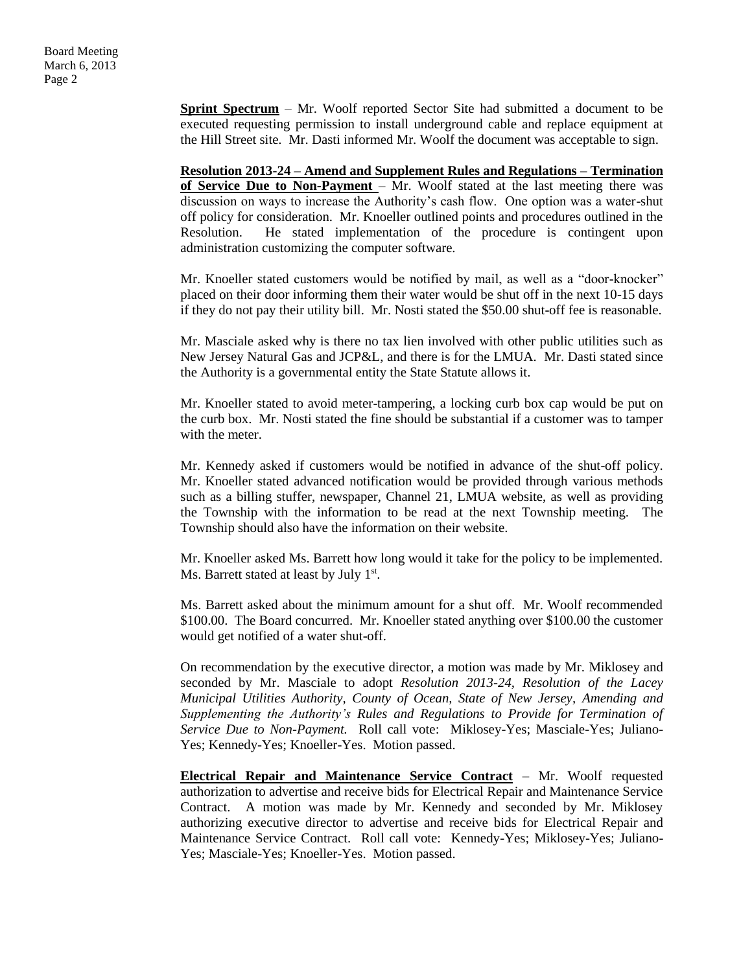**Sprint Spectrum** – Mr. Woolf reported Sector Site had submitted a document to be executed requesting permission to install underground cable and replace equipment at the Hill Street site. Mr. Dasti informed Mr. Woolf the document was acceptable to sign.

**Resolution 2013-24 – Amend and Supplement Rules and Regulations – Termination of Service Due to Non-Payment** – Mr. Woolf stated at the last meeting there was discussion on ways to increase the Authority's cash flow. One option was a water-shut off policy for consideration. Mr. Knoeller outlined points and procedures outlined in the Resolution. He stated implementation of the procedure is contingent upon administration customizing the computer software.

Mr. Knoeller stated customers would be notified by mail, as well as a "door-knocker" placed on their door informing them their water would be shut off in the next 10-15 days if they do not pay their utility bill. Mr. Nosti stated the \$50.00 shut-off fee is reasonable.

Mr. Masciale asked why is there no tax lien involved with other public utilities such as New Jersey Natural Gas and JCP&L, and there is for the LMUA. Mr. Dasti stated since the Authority is a governmental entity the State Statute allows it.

Mr. Knoeller stated to avoid meter-tampering, a locking curb box cap would be put on the curb box. Mr. Nosti stated the fine should be substantial if a customer was to tamper with the meter.

Mr. Kennedy asked if customers would be notified in advance of the shut-off policy. Mr. Knoeller stated advanced notification would be provided through various methods such as a billing stuffer, newspaper, Channel 21, LMUA website, as well as providing the Township with the information to be read at the next Township meeting. The Township should also have the information on their website.

Mr. Knoeller asked Ms. Barrett how long would it take for the policy to be implemented. Ms. Barrett stated at least by July 1<sup>st</sup>.

Ms. Barrett asked about the minimum amount for a shut off. Mr. Woolf recommended \$100.00. The Board concurred. Mr. Knoeller stated anything over \$100.00 the customer would get notified of a water shut-off.

On recommendation by the executive director, a motion was made by Mr. Miklosey and seconded by Mr. Masciale to adopt *Resolution 2013-24, Resolution of the Lacey Municipal Utilities Authority, County of Ocean, State of New Jersey, Amending and Supplementing the Authority's Rules and Regulations to Provide for Termination of Service Due to Non-Payment.* Roll call vote: Miklosey-Yes; Masciale-Yes; Juliano-Yes; Kennedy-Yes; Knoeller-Yes. Motion passed.

**Electrical Repair and Maintenance Service Contract** – Mr. Woolf requested authorization to advertise and receive bids for Electrical Repair and Maintenance Service Contract. A motion was made by Mr. Kennedy and seconded by Mr. Miklosey authorizing executive director to advertise and receive bids for Electrical Repair and Maintenance Service Contract. Roll call vote: Kennedy-Yes; Miklosey-Yes; Juliano-Yes; Masciale-Yes; Knoeller-Yes. Motion passed.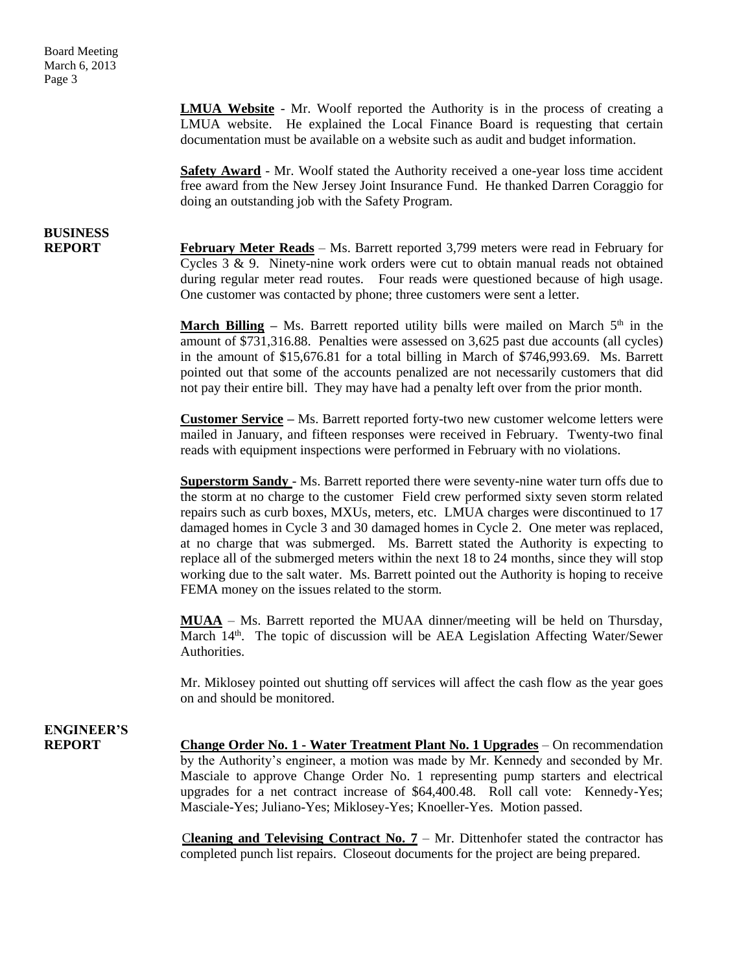**LMUA Website** - Mr. Woolf reported the Authority is in the process of creating a LMUA website. He explained the Local Finance Board is requesting that certain documentation must be available on a website such as audit and budget information.

**Safety Award** - Mr. Woolf stated the Authority received a one-year loss time accident free award from the New Jersey Joint Insurance Fund. He thanked Darren Coraggio for doing an outstanding job with the Safety Program.

# **BUSINESS**

**REPORT February Meter Reads** – Ms. Barrett reported 3,799 meters were read in February for Cycles 3 & 9. Ninety-nine work orders were cut to obtain manual reads not obtained during regular meter read routes. Four reads were questioned because of high usage. One customer was contacted by phone; three customers were sent a letter.

> **March Billing** – Ms. Barrett reported utility bills were mailed on March  $5<sup>th</sup>$  in the amount of \$731,316.88. Penalties were assessed on 3,625 past due accounts (all cycles) in the amount of \$15,676.81 for a total billing in March of \$746,993.69. Ms. Barrett pointed out that some of the accounts penalized are not necessarily customers that did not pay their entire bill. They may have had a penalty left over from the prior month.

> **Customer Service –** Ms. Barrett reported forty-two new customer welcome letters were mailed in January, and fifteen responses were received in February. Twenty-two final reads with equipment inspections were performed in February with no violations.

> **Superstorm Sandy** - Ms. Barrett reported there were seventy-nine water turn offs due to the storm at no charge to the customer Field crew performed sixty seven storm related repairs such as curb boxes, MXUs, meters, etc. LMUA charges were discontinued to 17 damaged homes in Cycle 3 and 30 damaged homes in Cycle 2. One meter was replaced, at no charge that was submerged. Ms. Barrett stated the Authority is expecting to replace all of the submerged meters within the next 18 to 24 months, since they will stop working due to the salt water. Ms. Barrett pointed out the Authority is hoping to receive FEMA money on the issues related to the storm.

> **MUAA** – Ms. Barrett reported the MUAA dinner/meeting will be held on Thursday, March 14<sup>th</sup>. The topic of discussion will be AEA Legislation Affecting Water/Sewer Authorities.

> Mr. Miklosey pointed out shutting off services will affect the cash flow as the year goes on and should be monitored.

### **ENGINEER'S**

**REPORT Change Order No. 1 - Water Treatment Plant No. 1 Upgrades** – On recommendation by the Authority's engineer, a motion was made by Mr. Kennedy and seconded by Mr. Masciale to approve Change Order No. 1 representing pump starters and electrical upgrades for a net contract increase of \$64,400.48. Roll call vote: Kennedy-Yes; Masciale-Yes; Juliano-Yes; Miklosey-Yes; Knoeller-Yes. Motion passed.

> C**leaning and Televising Contract No. 7** – Mr. Dittenhofer stated the contractor has completed punch list repairs. Closeout documents for the project are being prepared.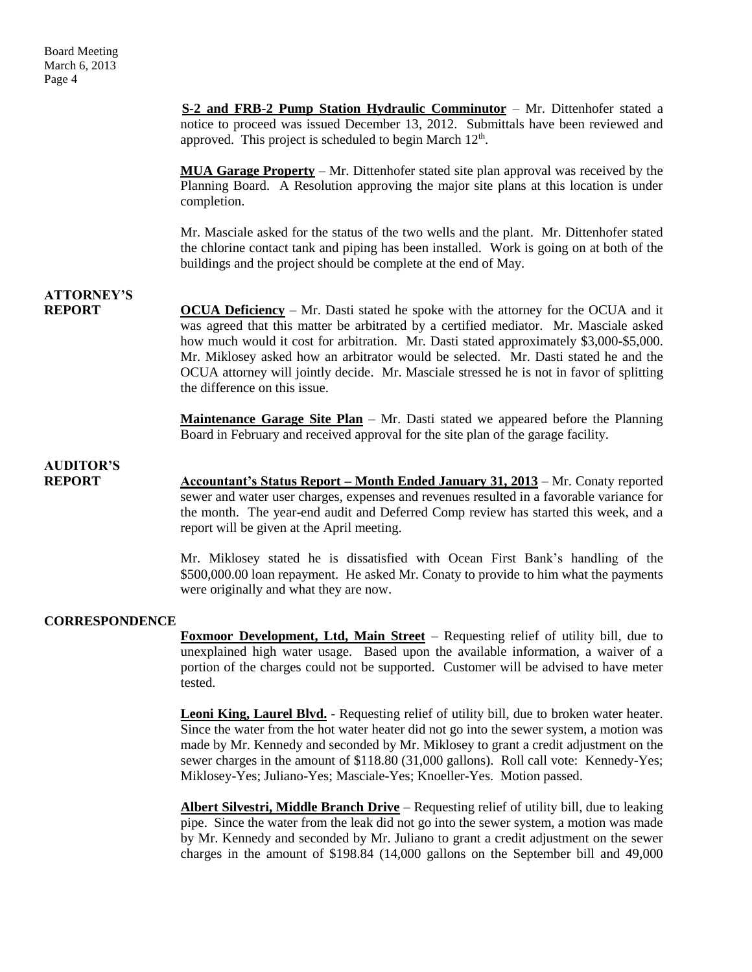**S-2 and FRB-2 Pump Station Hydraulic Comminutor** – Mr. Dittenhofer stated a notice to proceed was issued December 13, 2012. Submittals have been reviewed and approved. This project is scheduled to begin March  $12<sup>th</sup>$ .

**MUA Garage Property** – Mr. Dittenhofer stated site plan approval was received by the Planning Board. A Resolution approving the major site plans at this location is under completion.

Mr. Masciale asked for the status of the two wells and the plant. Mr. Dittenhofer stated the chlorine contact tank and piping has been installed. Work is going on at both of the buildings and the project should be complete at the end of May.

### **ATTORNEY'S**

**REPORT OCUA Deficiency** – Mr. Dasti stated he spoke with the attorney for the OCUA and it was agreed that this matter be arbitrated by a certified mediator. Mr. Masciale asked how much would it cost for arbitration. Mr. Dasti stated approximately \$3,000-\$5,000. Mr. Miklosey asked how an arbitrator would be selected. Mr. Dasti stated he and the OCUA attorney will jointly decide. Mr. Masciale stressed he is not in favor of splitting the difference on this issue.

> **Maintenance Garage Site Plan** – Mr. Dasti stated we appeared before the Planning Board in February and received approval for the site plan of the garage facility.

**AUDITOR'S**

**REPORT Accountant's Status Report – Month Ended January 31, 2013** – Mr. Conaty reported sewer and water user charges, expenses and revenues resulted in a favorable variance for the month. The year-end audit and Deferred Comp review has started this week, and a report will be given at the April meeting.

Mr. Miklosey stated he is dissatisfied with Ocean First Bank's handling of the \$500,000.00 loan repayment. He asked Mr. Conaty to provide to him what the payments were originally and what they are now.

#### **CORRESPONDENCE**

**Foxmoor Development, Ltd, Main Street** – Requesting relief of utility bill, due to unexplained high water usage. Based upon the available information, a waiver of a portion of the charges could not be supported. Customer will be advised to have meter tested.

Leoni King, Laurel Blvd. - Requesting relief of utility bill, due to broken water heater. Since the water from the hot water heater did not go into the sewer system, a motion was made by Mr. Kennedy and seconded by Mr. Miklosey to grant a credit adjustment on the sewer charges in the amount of \$118.80 (31,000 gallons). Roll call vote: Kennedy-Yes; Miklosey-Yes; Juliano-Yes; Masciale-Yes; Knoeller-Yes. Motion passed.

**Albert Silvestri, Middle Branch Drive** – Requesting relief of utility bill, due to leaking pipe. Since the water from the leak did not go into the sewer system, a motion was made by Mr. Kennedy and seconded by Mr. Juliano to grant a credit adjustment on the sewer charges in the amount of \$198.84 (14,000 gallons on the September bill and 49,000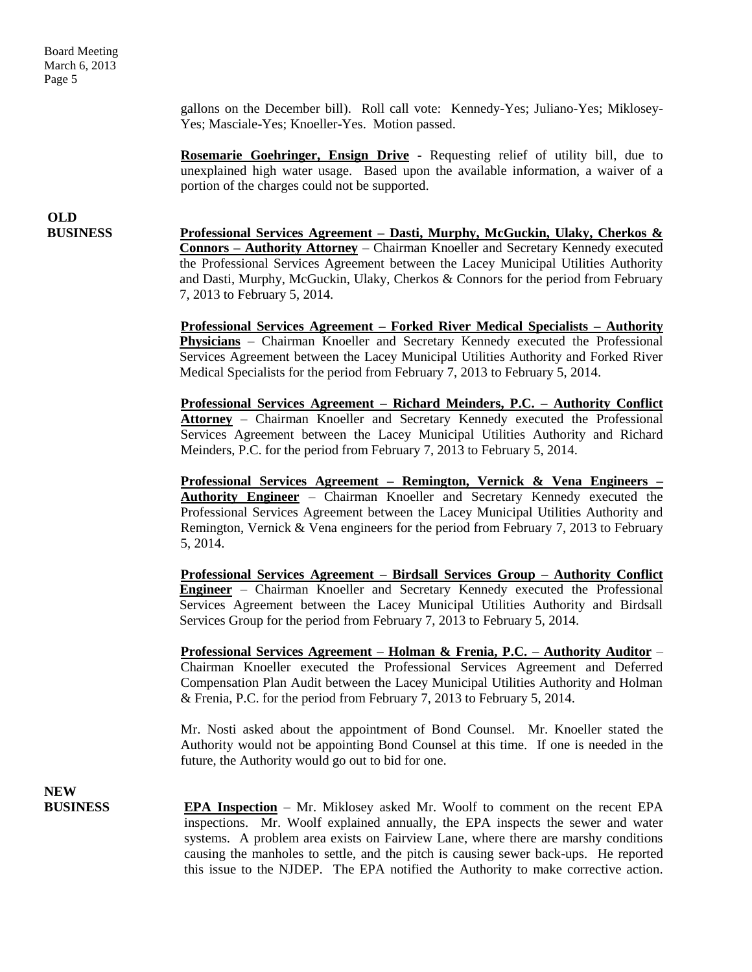Board Meeting March 6, 2013 Page 5

> gallons on the December bill). Roll call vote: Kennedy-Yes; Juliano-Yes; Miklosey-Yes; Masciale-Yes; Knoeller-Yes. Motion passed.

> **Rosemarie Goehringer, Ensign Drive** - Requesting relief of utility bill, due to unexplained high water usage. Based upon the available information, a waiver of a portion of the charges could not be supported.

# **OLD**

**BUSINESS Professional Services Agreement – Dasti, Murphy, McGuckin, Ulaky, Cherkos & Connors – Authority Attorney** – Chairman Knoeller and Secretary Kennedy executed the Professional Services Agreement between the Lacey Municipal Utilities Authority and Dasti, Murphy, McGuckin, Ulaky, Cherkos & Connors for the period from February 7, 2013 to February 5, 2014.

> **Professional Services Agreement – Forked River Medical Specialists – Authority Physicians** – Chairman Knoeller and Secretary Kennedy executed the Professional Services Agreement between the Lacey Municipal Utilities Authority and Forked River Medical Specialists for the period from February 7, 2013 to February 5, 2014.

> **Professional Services Agreement – Richard Meinders, P.C. – Authority Conflict Attorney** – Chairman Knoeller and Secretary Kennedy executed the Professional Services Agreement between the Lacey Municipal Utilities Authority and Richard Meinders, P.C. for the period from February 7, 2013 to February 5, 2014.

> **Professional Services Agreement – Remington, Vernick & Vena Engineers – Authority Engineer** – Chairman Knoeller and Secretary Kennedy executed the Professional Services Agreement between the Lacey Municipal Utilities Authority and Remington, Vernick & Vena engineers for the period from February 7, 2013 to February 5, 2014.

> **Professional Services Agreement – Birdsall Services Group – Authority Conflict Engineer** – Chairman Knoeller and Secretary Kennedy executed the Professional Services Agreement between the Lacey Municipal Utilities Authority and Birdsall Services Group for the period from February 7, 2013 to February 5, 2014.

> **Professional Services Agreement – Holman & Frenia, P.C. – Authority Auditor** – Chairman Knoeller executed the Professional Services Agreement and Deferred Compensation Plan Audit between the Lacey Municipal Utilities Authority and Holman & Frenia, P.C. for the period from February 7, 2013 to February 5, 2014.

> Mr. Nosti asked about the appointment of Bond Counsel. Mr. Knoeller stated the Authority would not be appointing Bond Counsel at this time. If one is needed in the future, the Authority would go out to bid for one.

**NEW** 

**BUSINESS EPA Inspection** – Mr. Miklosey asked Mr. Woolf to comment on the recent EPA inspections. Mr. Woolf explained annually, the EPA inspects the sewer and water systems. A problem area exists on Fairview Lane, where there are marshy conditions causing the manholes to settle, and the pitch is causing sewer back-ups. He reported this issue to the NJDEP. The EPA notified the Authority to make corrective action.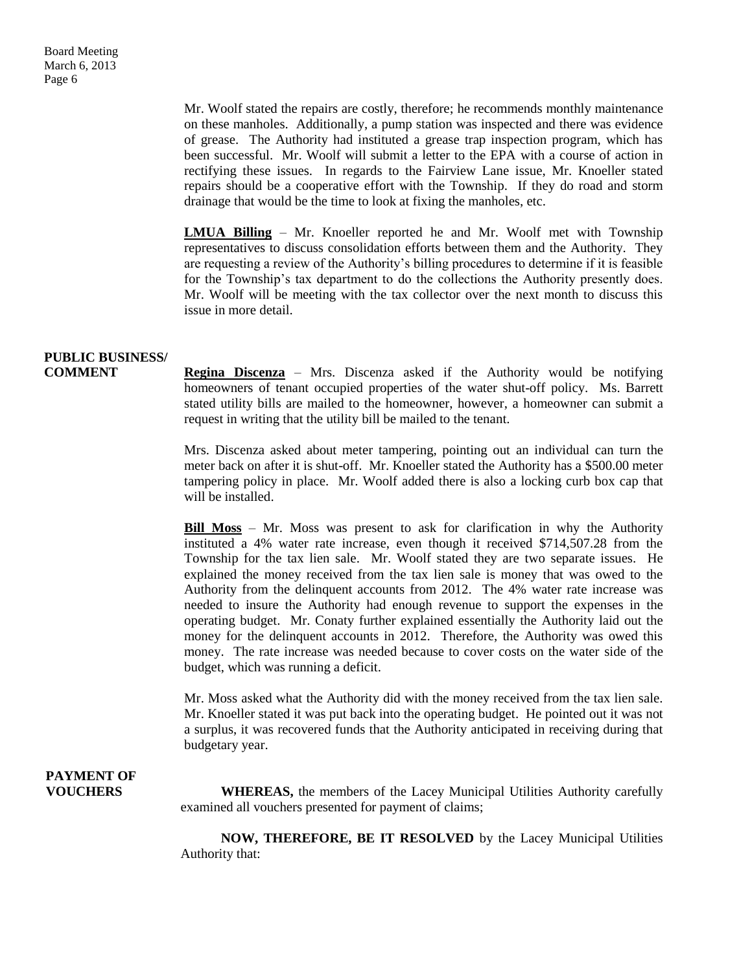Mr. Woolf stated the repairs are costly, therefore; he recommends monthly maintenance on these manholes. Additionally, a pump station was inspected and there was evidence of grease. The Authority had instituted a grease trap inspection program, which has been successful. Mr. Woolf will submit a letter to the EPA with a course of action in rectifying these issues. In regards to the Fairview Lane issue, Mr. Knoeller stated repairs should be a cooperative effort with the Township. If they do road and storm drainage that would be the time to look at fixing the manholes, etc.

**LMUA Billing** – Mr. Knoeller reported he and Mr. Woolf met with Township representatives to discuss consolidation efforts between them and the Authority. They are requesting a review of the Authority's billing procedures to determine if it is feasible for the Township's tax department to do the collections the Authority presently does. Mr. Woolf will be meeting with the tax collector over the next month to discuss this issue in more detail.

### **PUBLIC BUSINESS/**

**COMMENT Regina Discenza** – Mrs. Discenza asked if the Authority would be notifying homeowners of tenant occupied properties of the water shut-off policy. Ms. Barrett stated utility bills are mailed to the homeowner, however, a homeowner can submit a request in writing that the utility bill be mailed to the tenant.

> Mrs. Discenza asked about meter tampering, pointing out an individual can turn the meter back on after it is shut-off. Mr. Knoeller stated the Authority has a \$500.00 meter tampering policy in place. Mr. Woolf added there is also a locking curb box cap that will be installed.

> **Bill Moss** – Mr. Moss was present to ask for clarification in why the Authority instituted a 4% water rate increase, even though it received \$714,507.28 from the Township for the tax lien sale. Mr. Woolf stated they are two separate issues. He explained the money received from the tax lien sale is money that was owed to the Authority from the delinquent accounts from 2012. The 4% water rate increase was needed to insure the Authority had enough revenue to support the expenses in the operating budget. Mr. Conaty further explained essentially the Authority laid out the money for the delinquent accounts in 2012. Therefore, the Authority was owed this money. The rate increase was needed because to cover costs on the water side of the budget, which was running a deficit.

> Mr. Moss asked what the Authority did with the money received from the tax lien sale. Mr. Knoeller stated it was put back into the operating budget. He pointed out it was not a surplus, it was recovered funds that the Authority anticipated in receiving during that budgetary year.

## **PAYMENT OF**

**VOUCHERS** WHEREAS, the members of the Lacey Municipal Utilities Authority carefully examined all vouchers presented for payment of claims;

> **NOW, THEREFORE, BE IT RESOLVED** by the Lacey Municipal Utilities Authority that: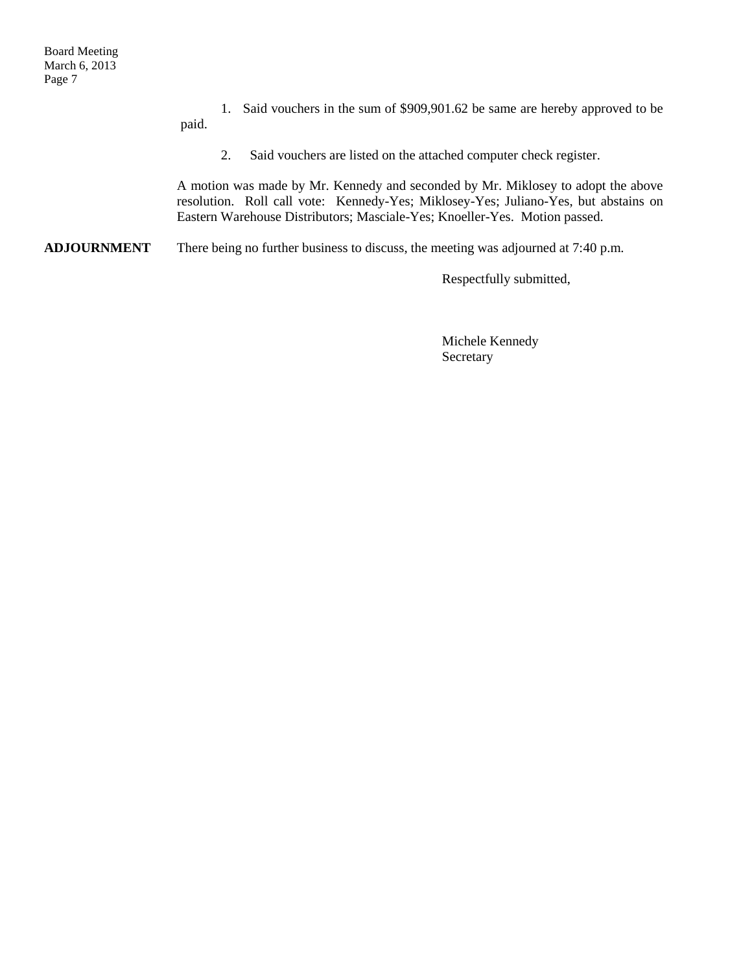1. Said vouchers in the sum of \$909,901.62 be same are hereby approved to be

paid.

2. Said vouchers are listed on the attached computer check register.

A motion was made by Mr. Kennedy and seconded by Mr. Miklosey to adopt the above resolution. Roll call vote: Kennedy-Yes; Miklosey-Yes; Juliano-Yes, but abstains on Eastern Warehouse Distributors; Masciale-Yes; Knoeller-Yes. Motion passed.

**ADJOURNMENT** There being no further business to discuss, the meeting was adjourned at 7:40 p.m.

Respectfully submitted,

Michele Kennedy Secretary